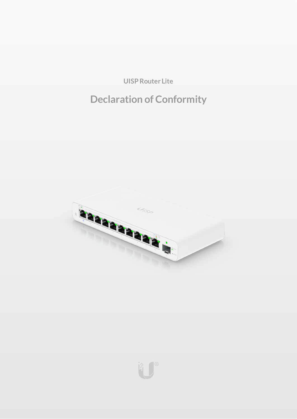**UISP Router Lite** 

# **Declaration of Conformity**



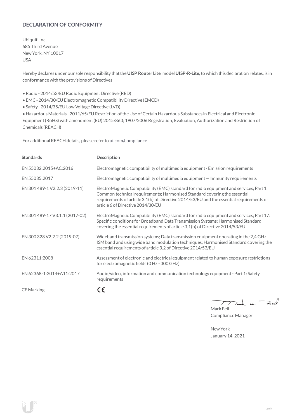# **DECLARATION OF CONFORMITY**

Ubiquiti Inc. 685 Third Avenue NewYork, NY 10017 USA

Hereby declares under our sole responsibility thatthe**UISP Router Lite**, model **UISP-R-Lite**, to which this declaration relates, is in conformancewith the provisions of Directives

- Radio 2014/53/EU Radio Equipment Directive (RED)
- EMC- 2014/30/EU Electromagnetic Compatibility Directive (EMCD)
- Safety 2014/35/EU Low Voltage Directive (LVD)

• HazardousMaterials - 2011/65/EU Restriction oftheUse ofCertain Hazardous Substances in Electrical and Electronic Equipment(RoHS) with amendment(EU) 2015/863; 1907/2006 Registration, Evaluation, Authorization and Restriction of Chemicals (REACH)

For additional REACH details, please refer to [ui.com/compliance](https://www.ui.com/compliance/)

| <b>Standards</b>               | Description                                                                                                                                                                                                                                                                                          |
|--------------------------------|------------------------------------------------------------------------------------------------------------------------------------------------------------------------------------------------------------------------------------------------------------------------------------------------------|
| EN 55032:2015+AC:2016          | Electromagnetic compatibility of multimedia equipment - Emission requirements                                                                                                                                                                                                                        |
| EN 55035:2017                  | Electromagnetic compatibility of multimedia equipment – Immunity requirements                                                                                                                                                                                                                        |
| EN 301 489-1 V2.2.3 (2019-11)  | ElectroMagnetic Compatibility (EMC) standard for radio equipment and services; Part 1:<br>Common technical requirements; Harmonised Standard covering the essential<br>requirements of article 3.1(b) of Directive 2014/53/EU and the essential requirements of<br>article 6 of Directive 2014/30/EU |
| EN 301 489-17 V3.1.1 (2017-02) | ElectroMagnetic Compatibility (EMC) standard for radio equipment and services; Part 17:<br>Specific conditions for Broadband Data Transmission Systems; Harmonised Standard<br>covering the essential requirements of article 3.1(b) of Directive 2014/53/EU                                         |
| EN 300 328 V2.2.2 (2019-07)    | Wideband transmission systems; Data transmission equipment operating in the 2,4 GHz<br>ISM band and using wide band modulation techniques; Harmonised Standard covering the<br>essential requirements of article 3.2 of Directive 2014/53/EU                                                         |
| EN 62311:2008                  | Assessment of electronic and electrical equipment related to human exposure restrictions<br>for electromagnetic fields (0 Hz - 300 GHz)                                                                                                                                                              |
| EN 62368-1:2014+A11:2017       | Audio/video, information and communication technology equipment - Part 1: Safety<br>requirements                                                                                                                                                                                                     |
| <b>CE</b> Marking              | € :                                                                                                                                                                                                                                                                                                  |

 $\Rightarrow$ Je m. <sup>-</sup>  $\mathcal{P}$ 

Mark Feil Compliance Manager

NewYork January 14, 2021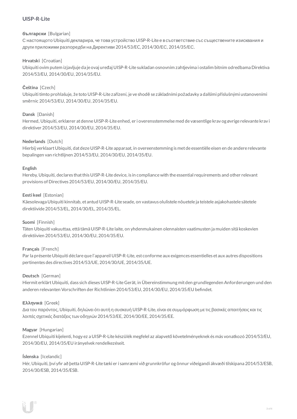# **UISP-R-Lite**

## **български** [Bulgarian]

С настоящото Ubiquiti декларира, че това устройство UISP-R-Lite е в съответствие със съществените изисквания и други приложими разпоредби на Директиви 2014/53/EC, 2014/30/ЕС, 2014/35/ЕС.

## **Hrvatski** [Croatian]

Ubiquiti ovim putem izjavljuje da je ovaj uređaj UISP-R-Lite sukladan osnovnim zahtjevima i ostalim bitnim odredbama Direktiva 2014/53/EU, 2014/30/EU, 2014/35/EU.

## **Čeština** [Czech]

Ubiquititímto prohlašuje, že toto UISP-R-Lite zařízení, je ve shodě se základními požadavky a dalšími příslušnými ustanoveními směrnic 2014/53/EU, 2014/30/EU, 2014/35/EU.

## **Dansk** [Danish]

Hermed, Ubiquiti, erklærer atdenneUISP-R-Lite enhed, er i overensstemmelse med de væsentlige krav og øvrige relevante krav i direktiver 2014/53/EU, 2014/30/EU, 2014/35/EU.

#### **Nederlands** [Dutch]

Hierbij verklaart Ubiquiti, dat deze UISP-R-Lite apparaat, in overeenstemming is met de essentiële eisen en de andere relevante bepalingen van richtlijnen 2014/53/EU, 2014/30/EU, 2014/35/EU.

#### **English**

Hereby, Ubiquiti, declares that this UISP-R-Lite device, is in compliance with the essential requirements and other relevant provisions of Directives 2014/53/EU, 2014/30/EU, 2014/35/EU.

#### **Eesti keel** [Estonian]

Käesolevaga Ubiquiti kinnitab, et antud UISP-R-Lite seade, on vastavus olulistele nõuetele ja teistele asjakohastele sätetele direktiivide2014/53/EL, 2014/30/EL, 2014/35/EL.

#### **Suomi** [Finnish]

Täten Ubiquiti vakuuttaa, että tämä UISP-R-Lite laite, on yhdenmukainen olennaisten vaatimusten ja muiden sitä koskevien direktiivien 2014/53/EU, 2014/30/EU, 2014/35/EU.

## **Français** [French]

Par la présente Ubiquiti déclare que l'appareil UISP-R-Lite, est conforme aux exigences essentielles et aux autres dispositions pertinentes des directives 2014/53/UE, 2014/30/UE, 2014/35/UE.

#### **Deutsch** [German]

HiermiterklärtUbiquiti, dass sich dieses UISP-R-LiteGerät, in Übereinstimmung mitden grundlegenden Anforderungen und den anderen relevanten Vorschriften der Richtlinien 2014/53/EU, 2014/30/EU, 2014/35/EU befindet.

#### **Ελληνικά** [Greek]

Δια του παρόντος, Ubiquiti, δηλώνει ότι αυτή η συσκευή UISP-R-Lite, είναι σεσυµµόρφωση µε τις βασικές απαιτήσεις καιτις λοιπές σχετικές διατάξεις των οδηγιών 2014/53/EE, 2014/30/EE, 2014/35/EE.

#### **Magyar** [Hungarian]

Ezennel Ubiquiti kijelenti, hogy ez a UISP-R-Lite készülék megfelel az alapvető követelményeknek és más vonatkozó 2014/53/EU, 2014/30/EU, 2014/35/EU irányelvek rendelkezéseit.

#### **Íslenska** [Icelandic]

Hér, Ubiquiti, því yfir að þetta UISP-R-Lite tæki er í samræmi við grunnkröfur og önnur viðeigandi ákvæði tilskipana 2014/53/ESB, 2014/30/ESB, 2014/35/ESB.